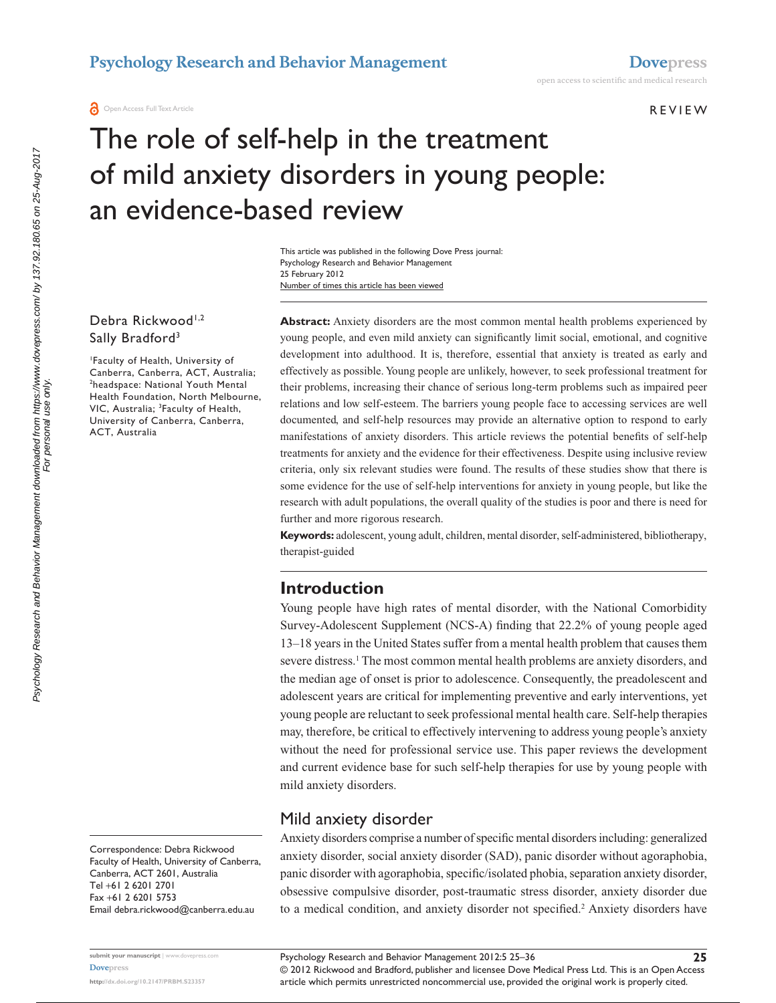**a** Open Access Full Text Article

R evie w

# The role of self-help in the treatment of mild anxiety disorders in young people: an evidence-based review

Number of times this article has been viewed This article was published in the following Dove Press journal: Psychology Research and Behavior Management 25 February 2012

#### Debra Rickwood<sup>1,2</sup> Sally Bradford<sup>3</sup>

1 Faculty of Health, University of Canberra, Canberra, ACT, Australia; 2 headspace: National Youth Mental Health Foundation, North Melbourne, VIC, Australia; 3 Faculty of Health, University of Canberra, Canberra, ACT, Australia

young people, and even mild anxiety can significantly limit social, emotional, and cognitive development into adulthood. It is, therefore, essential that anxiety is treated as early and effectively as possible. Young people are unlikely, however, to seek professional treatment for their problems, increasing their chance of serious long-term problems such as impaired peer relations and low self-esteem. The barriers young people face to accessing services are well documented, and self-help resources may provide an alternative option to respond to early manifestations of anxiety disorders. This article reviews the potential benefits of self-help treatments for anxiety and the evidence for their effectiveness. Despite using inclusive review criteria, only six relevant studies were found. The results of these studies show that there is some evidence for the use of self-help interventions for anxiety in young people, but like the research with adult populations, the overall quality of the studies is poor and there is need for further and more rigorous research.

**Abstract:** Anxiety disorders are the most common mental health problems experienced by

**Keywords:** adolescent, young adult, children, mental disorder, self-administered, bibliotherapy, therapist-guided

## **Introduction**

Young people have high rates of mental disorder, with the National Comorbidity Survey-Adolescent Supplement (NCS-A) finding that 22.2% of young people aged 13–18 years in the United States suffer from a mental health problem that causes them severe distress.<sup>1</sup> The most common mental health problems are anxiety disorders, and the median age of onset is prior to adolescence. Consequently, the preadolescent and adolescent years are critical for implementing preventive and early interventions, yet young people are reluctant to seek professional mental health care. Self-help therapies may, therefore, be critical to effectively intervening to address young people's anxiety without the need for professional service use. This paper reviews the development and current evidence base for such self-help therapies for use by young people with mild anxiety disorders.

# Mild anxiety disorder

Anxiety disorders comprise a number of specific mental disorders including: generalized anxiety disorder, social anxiety disorder (SAD), panic disorder without agoraphobia, panic disorder with agoraphobia, specific/isolated phobia, separation anxiety disorder, obsessive compulsive disorder, post-traumatic stress disorder, anxiety disorder due to a medical condition, and anxiety disorder not specified.<sup>2</sup> Anxiety disorders have

Correspondence: Debra Rickwood Faculty of Health, University of Canberra, Canberra, ACT 2601, Australia Tel +61 2 6201 2701 Fax +61 2 6201 5753 Email [debra.rickwood@canberra.edu.au](mailto:debra.rickwood@canberra.edu.au)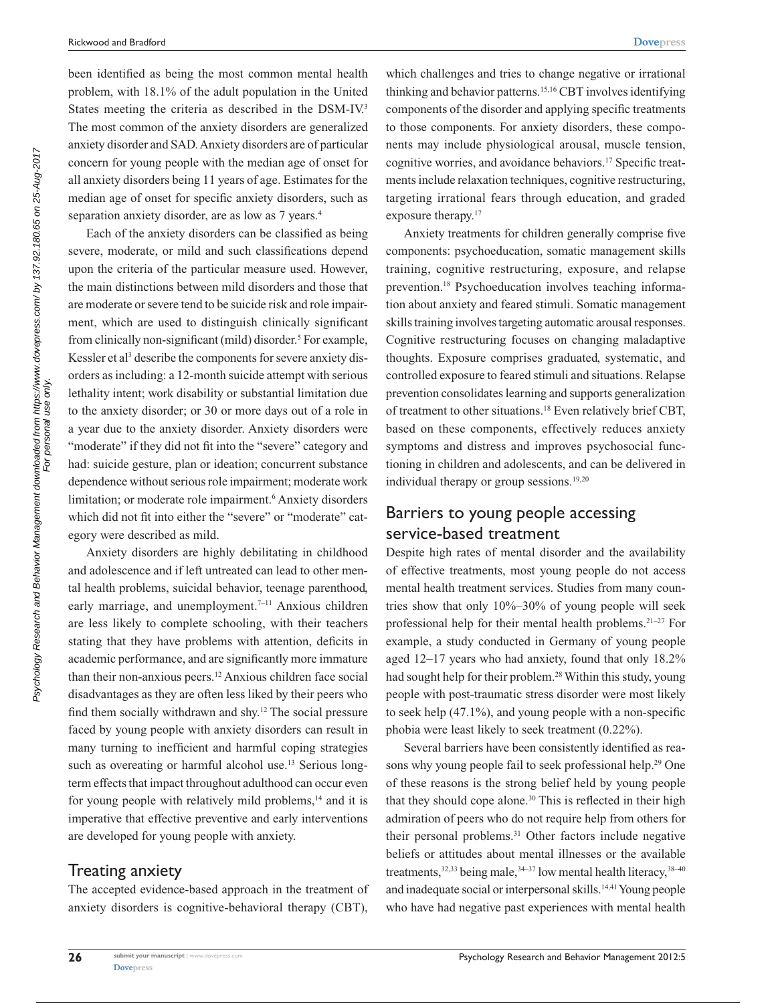been identified as being the most common mental health problem, with 18.1% of the adult population in the United States meeting the criteria as described in the DSM-IV.3 The most common of the anxiety disorders are generalized anxiety disorder and SAD. Anxiety disorders are of particular concern for young people with the median age of onset for all anxiety disorders being 11 years of age. Estimates for the median age of onset for specific anxiety disorders, such as separation anxiety disorder, are as low as 7 years.<sup>4</sup>

Each of the anxiety disorders can be classified as being severe, moderate, or mild and such classifications depend upon the criteria of the particular measure used. However, the main distinctions between mild disorders and those that are moderate or severe tend to be suicide risk and role impairment, which are used to distinguish clinically significant from clinically non-significant (mild) disorder.<sup>5</sup> For example, Kessler et al<sup>3</sup> describe the components for severe anxiety disorders as including: a 12-month suicide attempt with serious lethality intent; work disability or substantial limitation due to the anxiety disorder; or 30 or more days out of a role in a year due to the anxiety disorder. Anxiety disorders were "moderate" if they did not fit into the "severe" category and had: suicide gesture, plan or ideation; concurrent substance dependence without serious role impairment; moderate work limitation; or moderate role impairment.<sup>6</sup> Anxiety disorders which did not fit into either the "severe" or "moderate" category were described as mild.

Anxiety disorders are highly debilitating in childhood and adolescence and if left untreated can lead to other mental health problems, suicidal behavior, teenage parenthood, early marriage, and unemployment.<sup>7-11</sup> Anxious children are less likely to complete schooling, with their teachers stating that they have problems with attention, deficits in academic performance, and are significantly more immature than their non-anxious peers.12 Anxious children face social disadvantages as they are often less liked by their peers who find them socially withdrawn and shy.12 The social pressure faced by young people with anxiety disorders can result in many turning to inefficient and harmful coping strategies such as overeating or harmful alcohol use.<sup>13</sup> Serious longterm effects that impact throughout adulthood can occur even for young people with relatively mild problems,<sup>14</sup> and it is imperative that effective preventive and early interventions are developed for young people with anxiety.

#### Treating anxiety

The accepted evidence-based approach in the treatment of anxiety disorders is cognitive-behavioral therapy (CBT),

which challenges and tries to change negative or irrational thinking and behavior patterns.15,16 CBT involves identifying components of the disorder and applying specific treatments to those components. For anxiety disorders, these components may include physiological arousal, muscle tension, cognitive worries, and avoidance behaviors.17 Specific treatments include relaxation techniques, cognitive restructuring, targeting irrational fears through education, and graded exposure therapy.<sup>17</sup>

Anxiety treatments for children generally comprise five components: psychoeducation, somatic management skills training, cognitive restructuring, exposure, and relapse prevention.18 Psychoeducation involves teaching information about anxiety and feared stimuli. Somatic management skills training involves targeting automatic arousal responses. Cognitive restructuring focuses on changing maladaptive thoughts. Exposure comprises graduated, systematic, and controlled exposure to feared stimuli and situations. Relapse prevention consolidates learning and supports generalization of treatment to other situations.<sup>18</sup> Even relatively brief CBT, based on these components, effectively reduces anxiety symptoms and distress and improves psychosocial functioning in children and adolescents, and can be delivered in individual therapy or group sessions.<sup>19,20</sup>

# Barriers to young people accessing service-based treatment

Despite high rates of mental disorder and the availability of effective treatments, most young people do not access mental health treatment services. Studies from many countries show that only 10%–30% of young people will seek professional help for their mental health problems.<sup>21-27</sup> For example, a study conducted in Germany of young people aged 12–17 years who had anxiety, found that only 18.2% had sought help for their problem.<sup>28</sup> Within this study, young people with post-traumatic stress disorder were most likely to seek help (47.1%), and young people with a non-specific phobia were least likely to seek treatment (0.22%).

Several barriers have been consistently identified as reasons why young people fail to seek professional help.<sup>29</sup> One of these reasons is the strong belief held by young people that they should cope alone.<sup>30</sup> This is reflected in their high admiration of peers who do not require help from others for their personal problems.31 Other factors include negative beliefs or attitudes about mental illnesses or the available treatments,  $32,33$  being male,  $34-37$  low mental health literacy,  $38-40$ and inadequate social or interpersonal skills.<sup>14,41</sup> Young people who have had negative past experiences with mental health

**26**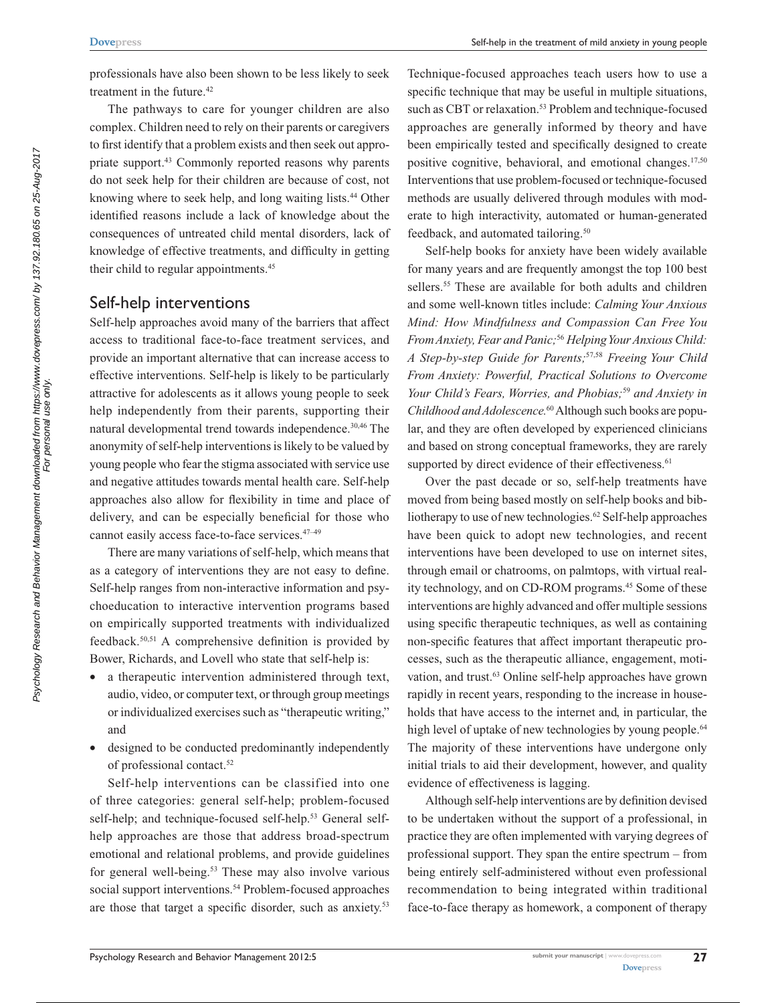professionals have also been shown to be less likely to seek treatment in the future.<sup>42</sup>

The pathways to care for younger children are also complex. Children need to rely on their parents or caregivers to first identify that a problem exists and then seek out appropriate support.43 Commonly reported reasons why parents do not seek help for their children are because of cost, not knowing where to seek help, and long waiting lists.<sup>44</sup> Other identified reasons include a lack of knowledge about the consequences of untreated child mental disorders, lack of knowledge of effective treatments, and difficulty in getting their child to regular appointments.<sup>45</sup>

#### Self-help interventions

Self-help approaches avoid many of the barriers that affect access to traditional face-to-face treatment services, and provide an important alternative that can increase access to effective interventions. Self-help is likely to be particularly attractive for adolescents as it allows young people to seek help independently from their parents, supporting their natural developmental trend towards independence.<sup>30,46</sup> The anonymity of self-help interventions is likely to be valued by young people who fear the stigma associated with service use and negative attitudes towards mental health care. Self-help approaches also allow for flexibility in time and place of delivery, and can be especially beneficial for those who cannot easily access face-to-face services.<sup>47-49</sup>

There are many variations of self-help, which means that as a category of interventions they are not easy to define. Self-help ranges from non-interactive information and psychoeducation to interactive intervention programs based on empirically supported treatments with individualized feedback.50,51 A comprehensive definition is provided by Bower, Richards, and Lovell who state that self-help is:

- a therapeutic intervention administered through text, audio, video, or computer text, or through group meetings or individualized exercises such as "therapeutic writing," and
- designed to be conducted predominantly independently of professional contact.52

Self-help interventions can be classified into one of three categories: general self-help; problem-focused self-help; and technique-focused self-help.<sup>53</sup> General selfhelp approaches are those that address broad-spectrum emotional and relational problems, and provide guidelines for general well-being.<sup>53</sup> These may also involve various social support interventions.<sup>54</sup> Problem-focused approaches are those that target a specific disorder, such as anxiety.<sup>53</sup>

Technique-focused approaches teach users how to use a specific technique that may be useful in multiple situations, such as CBT or relaxation.<sup>53</sup> Problem and technique-focused approaches are generally informed by theory and have been empirically tested and specifically designed to create positive cognitive, behavioral, and emotional changes.<sup>17,50</sup> Interventions that use problem-focused or technique-focused methods are usually delivered through modules with moderate to high interactivity, automated or human-generated feedback, and automated tailoring.<sup>50</sup>

Self-help books for anxiety have been widely available for many years and are frequently amongst the top 100 best sellers.<sup>55</sup> These are available for both adults and children and some well-known titles include: *Calming Your Anxious Mind: How Mindfulness and Compassion Can Free You From Anxiety, Fear and Panic;*<sup>56</sup> *Helping Your Anxious Child: A Step-by-step Guide for Parents;*57,58 *Freeing Your Child From Anxiety: Powerful, Practical Solutions to Overcome Your Child's Fears, Worries, and Phobias;*<sup>59</sup> *and Anxiety in Childhood and Adolescence.*60 Although such books are popular, and they are often developed by experienced clinicians and based on strong conceptual frameworks, they are rarely supported by direct evidence of their effectiveness.<sup>61</sup>

Over the past decade or so, self-help treatments have moved from being based mostly on self-help books and bibliotherapy to use of new technologies.<sup>62</sup> Self-help approaches have been quick to adopt new technologies, and recent interventions have been developed to use on internet sites, through email or chatrooms, on palmtops, with virtual reality technology, and on CD-ROM programs.<sup>45</sup> Some of these interventions are highly advanced and offer multiple sessions using specific therapeutic techniques, as well as containing non-specific features that affect important therapeutic processes, such as the therapeutic alliance, engagement, motivation, and trust.<sup>63</sup> Online self-help approaches have grown rapidly in recent years, responding to the increase in households that have access to the internet and, in particular, the high level of uptake of new technologies by young people.<sup>64</sup> The majority of these interventions have undergone only initial trials to aid their development, however, and quality evidence of effectiveness is lagging.

Although self-help interventions are by definition devised to be undertaken without the support of a professional, in practice they are often implemented with varying degrees of professional support. They span the entire spectrum – from being entirely self-administered without even professional recommendation to being integrated within traditional face-to-face therapy as homework, a component of therapy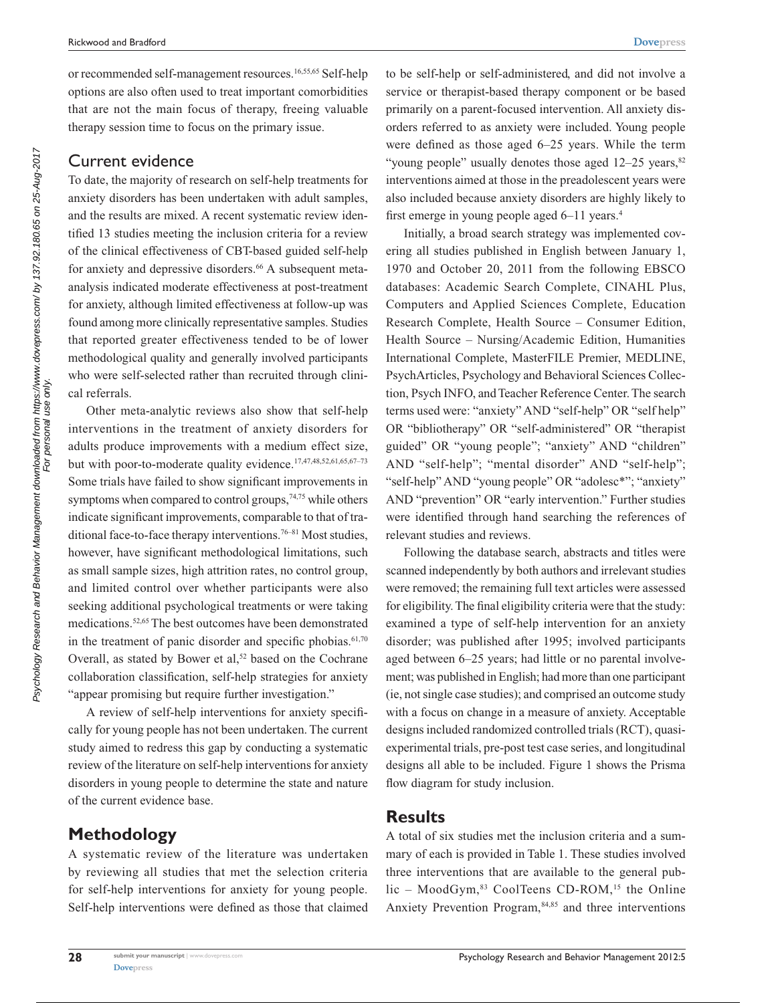or recommended self-management resources.16,55,65 Self-help options are also often used to treat important comorbidities that are not the main focus of therapy, freeing valuable therapy session time to focus on the primary issue.

#### Current evidence

To date, the majority of research on self-help treatments for anxiety disorders has been undertaken with adult samples, and the results are mixed. A recent systematic review identified 13 studies meeting the inclusion criteria for a review of the clinical effectiveness of CBT-based guided self-help for anxiety and depressive disorders.<sup>66</sup> A subsequent metaanalysis indicated moderate effectiveness at post-treatment for anxiety, although limited effectiveness at follow-up was found among more clinically representative samples. Studies that reported greater effectiveness tended to be of lower methodological quality and generally involved participants who were self-selected rather than recruited through clinical referrals.

Other meta-analytic reviews also show that self-help interventions in the treatment of anxiety disorders for adults produce improvements with a medium effect size, but with poor-to-moderate quality evidence.<sup>17,47,48,52,61,65,67-73</sup> Some trials have failed to show significant improvements in symptoms when compared to control groups,<sup>74,75</sup> while others indicate significant improvements, comparable to that of traditional face-to-face therapy interventions.<sup>76-81</sup> Most studies, however, have significant methodological limitations, such as small sample sizes, high attrition rates, no control group, and limited control over whether participants were also seeking additional psychological treatments or were taking medications.52,65 The best outcomes have been demonstrated in the treatment of panic disorder and specific phobias.<sup>61,70</sup> Overall, as stated by Bower et al,<sup>52</sup> based on the Cochrane collaboration classification, self-help strategies for anxiety "appear promising but require further investigation."

A review of self-help interventions for anxiety specifically for young people has not been undertaken. The current study aimed to redress this gap by conducting a systematic review of the literature on self-help interventions for anxiety disorders in young people to determine the state and nature of the current evidence base.

## **Methodology**

**28**

A systematic review of the literature was undertaken by reviewing all studies that met the selection criteria for self-help interventions for anxiety for young people. Self-help interventions were defined as those that claimed to be self-help or self-administered, and did not involve a service or therapist-based therapy component or be based primarily on a parent-focused intervention. All anxiety disorders referred to as anxiety were included. Young people were defined as those aged 6–25 years. While the term "young people" usually denotes those aged  $12-25$  years, $82$ interventions aimed at those in the preadolescent years were also included because anxiety disorders are highly likely to first emerge in young people aged 6–11 years.4

Initially, a broad search strategy was implemented covering all studies published in English between January 1, 1970 and October 20, 2011 from the following EBSCO databases: Academic Search Complete, CINAHL Plus, Computers and Applied Sciences Complete, Education Research Complete, Health Source – Consumer Edition, Health Source – Nursing/Academic Edition, Humanities International Complete, MasterFILE Premier, MEDLINE, PsychArticles, Psychology and Behavioral Sciences Collection, Psych INFO, and Teacher Reference Center. The search terms used were: "anxiety" AND "self-help" OR "self help" OR "bibliotherapy" OR "self-administered" OR "therapist guided" OR "young people"; "anxiety" AND "children" AND "self-help"; "mental disorder" AND "self-help"; "self-help" AND "young people" OR "adolesc\*"; "anxiety" AND "prevention" OR "early intervention." Further studies were identified through hand searching the references of relevant studies and reviews.

Following the database search, abstracts and titles were scanned independently by both authors and irrelevant studies were removed; the remaining full text articles were assessed for eligibility. The final eligibility criteria were that the study: examined a type of self-help intervention for an anxiety disorder; was published after 1995; involved participants aged between 6–25 years; had little or no parental involvement; was published in English; had more than one participant (ie, not single case studies); and comprised an outcome study with a focus on change in a measure of anxiety. Acceptable designs included randomized controlled trials (RCT), quasiexperimental trials, pre-post test case series, and longitudinal designs all able to be included. Figure 1 shows the Prisma flow diagram for study inclusion.

#### **Results**

A total of six studies met the inclusion criteria and a summary of each is provided in Table 1. These studies involved three interventions that are available to the general public – MoodGym,<sup>83</sup> CoolTeens CD-ROM,<sup>15</sup> the Online Anxiety Prevention Program,84,85 and three interventions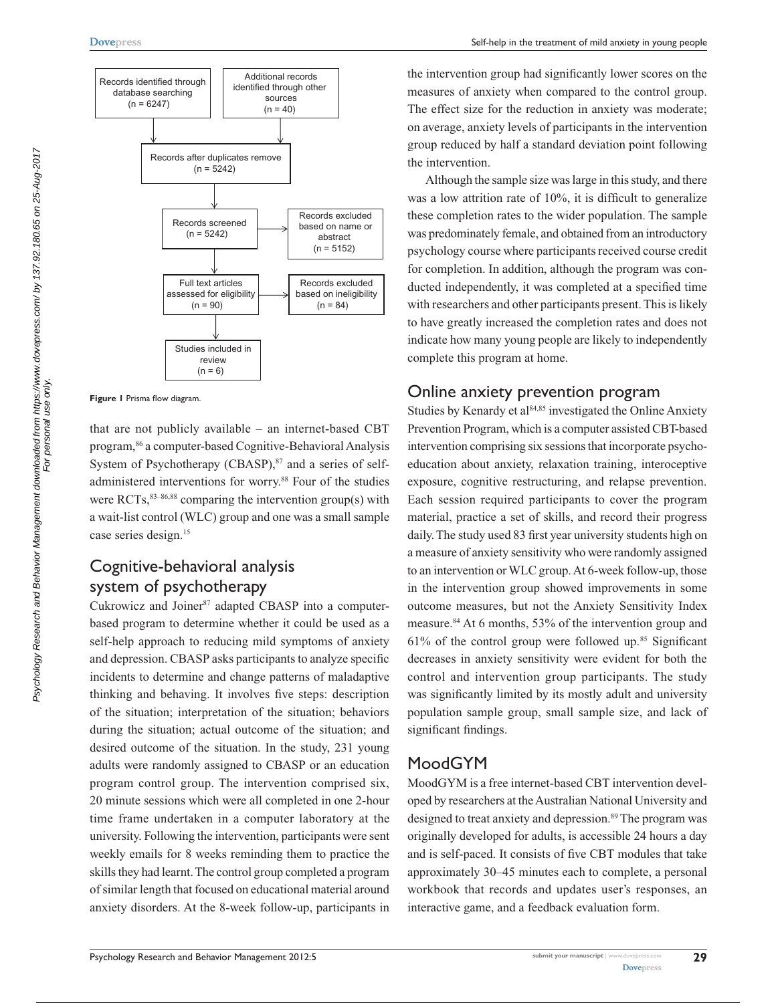

**Figure 1** Prisma flow diagram.

that are not publicly available – an internet-based CBT program,86 a computer-based Cognitive-Behavioral Analysis System of Psychotherapy  $(CBASP)^{87}$  and a series of selfadministered interventions for worry.88 Four of the studies were RCTs, $83-86,88$  comparing the intervention group(s) with a wait-list control (WLC) group and one was a small sample case series design.15

# Cognitive-behavioral analysis system of psychotherapy

Cukrowicz and Joiner<sup>87</sup> adapted CBASP into a computerbased program to determine whether it could be used as a self-help approach to reducing mild symptoms of anxiety and depression. CBASP asks participants to analyze specific incidents to determine and change patterns of maladaptive thinking and behaving. It involves five steps: description of the situation; interpretation of the situation; behaviors during the situation; actual outcome of the situation; and desired outcome of the situation. In the study, 231 young adults were randomly assigned to CBASP or an education program control group. The intervention comprised six, 20 minute sessions which were all completed in one 2-hour time frame undertaken in a computer laboratory at the university. Following the intervention, participants were sent weekly emails for 8 weeks reminding them to practice the skills they had learnt. The control group completed a program of similar length that focused on educational material around anxiety disorders. At the 8-week follow-up, participants in

the intervention group had significantly lower scores on the measures of anxiety when compared to the control group. The effect size for the reduction in anxiety was moderate; on average, anxiety levels of participants in the intervention group reduced by half a standard deviation point following the intervention.

Although the sample size was large in this study, and there was a low attrition rate of 10%, it is difficult to generalize these completion rates to the wider population. The sample was predominately female, and obtained from an introductory psychology course where participants received course credit for completion. In addition, although the program was conducted independently, it was completed at a specified time with researchers and other participants present. This is likely to have greatly increased the completion rates and does not indicate how many young people are likely to independently complete this program at home.

#### Online anxiety prevention program

Studies by Kenardy et al<sup>84,85</sup> investigated the Online Anxiety Prevention Program, which is a computer assisted CBT-based intervention comprising six sessions that incorporate psychoeducation about anxiety, relaxation training, interoceptive exposure, cognitive restructuring, and relapse prevention. Each session required participants to cover the program material, practice a set of skills, and record their progress daily. The study used 83 first year university students high on a measure of anxiety sensitivity who were randomly assigned to an intervention or WLC group. At 6-week follow-up, those in the intervention group showed improvements in some outcome measures, but not the Anxiety Sensitivity Index measure.84 At 6 months, 53% of the intervention group and 61% of the control group were followed up.85 Significant decreases in anxiety sensitivity were evident for both the control and intervention group participants. The study was significantly limited by its mostly adult and university population sample group, small sample size, and lack of significant findings.

## MoodGYM

MoodGYM is a free internet-based CBT intervention developed by researchers at the Australian National University and designed to treat anxiety and depression.<sup>89</sup> The program was originally developed for adults, is accessible 24 hours a day and is self-paced. It consists of five CBT modules that take approximately 30–45 minutes each to complete, a personal workbook that records and updates user's responses, an interactive game, and a feedback evaluation form.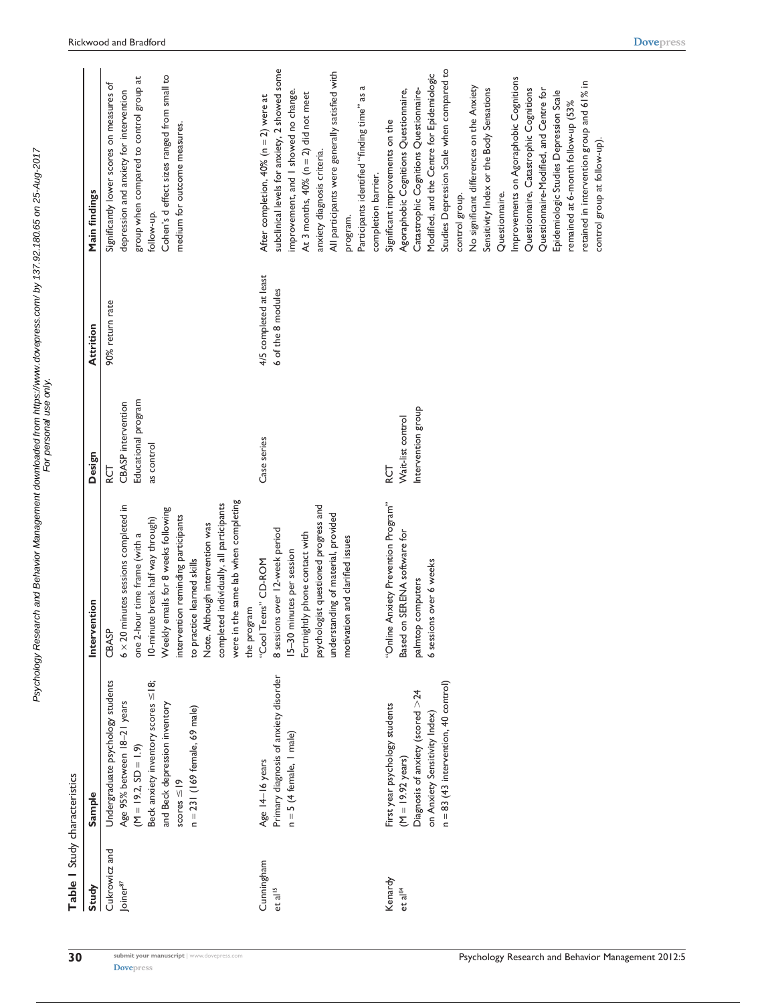| Table I Study characteristics |                                          |                                             |                           |                        |                                                |
|-------------------------------|------------------------------------------|---------------------------------------------|---------------------------|------------------------|------------------------------------------------|
| Study                         | Sample                                   | Intervention                                | Design                    | Attrition              | Main findings                                  |
| Cukrowicz and                 | Undergraduate psychology students        | CBASP                                       | <b>NOT</b>                | 90% return rate        | Significantly lower scores on measures of      |
| Joiner <sup>87</sup>          | Age 95% between 18-21 years              | $6 \times 20$ minutes sessions completed in | <b>CBASP</b> intervention |                        | depression and anxiety for intervention        |
|                               | $(M = 19.2, SD = 1.9)$                   | one 2-hour time frame (with a               | Educational program       |                        | group when compared to control group at        |
|                               | Beck anxiety inventory scores $\leq$ 18; | 10-minute break half way through)           | as control                |                        | follow-up.                                     |
|                               | and Beck depression inventory            | Weekly emails for 8 weeks following         |                           |                        | Cohen's d effect sizes ranged from small to    |
|                               | $scores \leq 19$                         | intervention reminding participants         |                           |                        | medium for outcome measures.                   |
|                               | $n = 231$ (169 female, 69 male)          | to practice learned skills                  |                           |                        |                                                |
|                               |                                          | Note. Although intervention was             |                           |                        |                                                |
|                               |                                          | completed individually, all participants    |                           |                        |                                                |
|                               |                                          | were in the same lab when completing        |                           |                        |                                                |
|                               |                                          | the program                                 |                           |                        |                                                |
| Cunningham                    | Age 14-16 years                          | "Cool Teens" CD-ROM                         | Case series               | 4/5 completed at least | After completion, $40\%$ (n = 2) were at       |
| et al <sup>15</sup>           | Primary diagnosis of anxiety disorder    | 8 sessions over 12-week period              |                           | 6 of the 8 modules     | subclinical levels for anxiety, 2 showed some  |
|                               | $n = 5$ (4 female, 1 male)               | 15-30 minutes per session                   |                           |                        | improvement, and I showed no change.           |
|                               |                                          | Fortnightly phone contact with              |                           |                        | At 3 months, $40\%$ ( $n = 2$ ) did not meet   |
|                               |                                          | psychologist questioned progress and        |                           |                        | anxiety diagnosis criteria.                    |
|                               |                                          | understanding of material, provided         |                           |                        | All participants were generally satisfied with |
|                               |                                          | motivation and clarified issues             |                           |                        | program.                                       |
|                               |                                          |                                             |                           |                        | Participants identified "finding time" as a    |
|                               |                                          |                                             |                           |                        | completion barrier.                            |
| Kenardy                       | First year psychology students           | "Online Anxiety Prevention Program"         | 5<br>S                    |                        | Significant improvements on the                |
| et al <sup>84</sup>           | $(M = 19.92 \text{ years})$              | Based on SERENA software for                | Wait-list control         |                        | Agoraphobic Cognitions Questionnaire,          |
|                               | Diagnosis of anxiety (scored $>$ 24      | palmtop computers                           | Intervention group        |                        | Catastrophic Cognitions Questionnaire-         |
|                               | on Anxiety Sensitivity Index)            | 6 sessions over 6 weeks                     |                           |                        | Modified, and the Centre for Epidemiologic     |
|                               | $n = 83$ (43 intervention, 40 control)   |                                             |                           |                        | Studies Depression Scale when compared to      |
|                               |                                          |                                             |                           |                        | control group.                                 |
|                               |                                          |                                             |                           |                        | No significant differences on the Anxiety      |
|                               |                                          |                                             |                           |                        | Sensitivity Index or the Body Sensations       |
|                               |                                          |                                             |                           |                        | Questionnaire.                                 |
|                               |                                          |                                             |                           |                        | Improvements on Agoraphobic Cognitions         |
|                               |                                          |                                             |                           |                        | Questionnaire, Catastrophic Cognitions         |
|                               |                                          |                                             |                           |                        | Questionnaire-Modified, and Centre for         |
|                               |                                          |                                             |                           |                        | Epidemiologic Studies Depression Scale         |
|                               |                                          |                                             |                           |                        | remained at 6-month follow-up (53%             |

Psychology Research and Behavior Management downloaded from https://www.dovepress.com/ by 137.92.180.65 on 25-Aug-2017 For personal use only.

Psychology Research and Behavior Management downloaded from https://www.dovepress.com/ by 137.92.180.65 on 25-Aug-2017<br>For personal use only.

retained in intervention group and 61% in

retained in intervention group and 61% in

control group at follow-up).

control group at follow-up).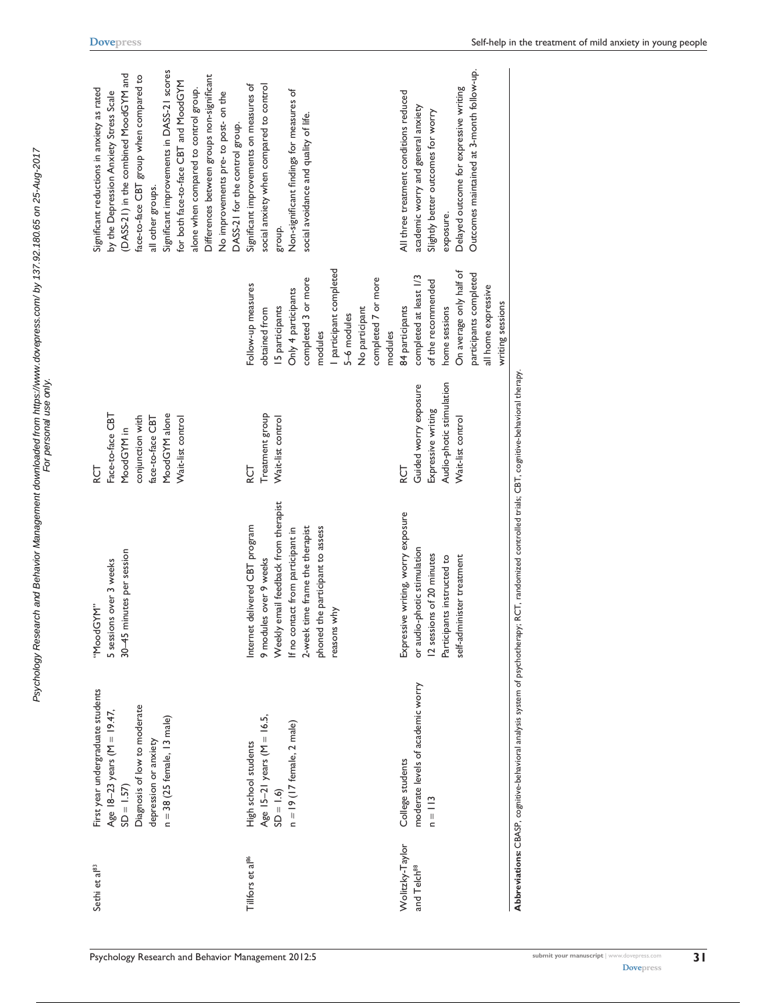|                                            | First year undergraduate students<br>Diagnosis of low to moderate<br>Age 18-23 years (M = 19.47,<br>$n = 38$ (25 female, 13 male)<br>depression or anxiety<br>$SD = 1.57$ | minutes per session<br>5 sessions over 3 weeks<br>"MoodGYM"<br>$30 - 45$                                                                                                                                                                 | Face-to-face CBT<br>MoodGYM alone<br>conjunction with<br>face-to-face CBT<br>Wait-list control<br>MoodGYM in<br>5<br>S |                                                                                                                                                                                                               | Significant improvements in DASS-21 scores<br>(DASS-21) in the combined MoodGYM and<br>Differences between groups non-significant<br>face-to-face CBT group when compared to<br>for both face-to-face CBT and MoodGYM<br>Significant reductions in anxiety as rated<br>alone when compared to control group.<br>No improvements pre- to post- on the<br>by the Depression Anxiety Stress Scale<br>DASS-21 for the control group.<br>all other groups. |
|--------------------------------------------|---------------------------------------------------------------------------------------------------------------------------------------------------------------------------|------------------------------------------------------------------------------------------------------------------------------------------------------------------------------------------------------------------------------------------|------------------------------------------------------------------------------------------------------------------------|---------------------------------------------------------------------------------------------------------------------------------------------------------------------------------------------------------------|-------------------------------------------------------------------------------------------------------------------------------------------------------------------------------------------------------------------------------------------------------------------------------------------------------------------------------------------------------------------------------------------------------------------------------------------------------|
| Tillfors et al <sup>86</sup>               | Age $15-21$ years (M = 16.5,<br>$n = 19$ (17 female, 2 male)<br>High school students<br>$SD = 1.6$                                                                        | Weekly email feedback from therapist<br>Internet delivered CBT program<br>time frame the therapist<br>the participant to assess<br>If no contact from participant in<br>les over 9 weeks<br>reasons why<br>9 modu<br>$2$ -week<br>phoned | Treatment group<br>Wait-list control<br><b>NOT</b>                                                                     | I participant completed<br>completed 3 or more<br>completed 7 or more<br>Follow-up measures<br>Only 4 participants<br>15 participants<br>No participant<br>obtained from<br>5-6 modules<br>modules<br>modules | Significant improvements on measures of<br>social anxiety when compared to control<br>Non-significant findings for measures of<br>social avoidance and quality of life.<br>group.                                                                                                                                                                                                                                                                     |
| Wolitzky-Taylor<br>and Telch <sup>88</sup> | moderate levels of academic worry<br>College students<br>$n = 113$                                                                                                        | Expressive writing, worry exposure<br>or audio-photic stimulation<br>12 sessions of 20 minutes<br>Participants instructed to<br>self-administer treatment                                                                                | Audio-photic stimulation<br>Guided worry exposure<br>Expressive writing<br>Wait-list control<br><b>POT</b>             | On average only half of<br>participants completed<br>completed at least 1/3<br>of the recommended<br>all home expressive<br>writing sessions<br>84 participants<br>home sessions                              | Outcomes maintained at 3-month follow-up.<br>Delayed outcome for expressive writing<br>All three treatment conditions reduced<br>academic worry and general anxiety<br>Slightly better outcomes for worry<br>exposure.                                                                                                                                                                                                                                |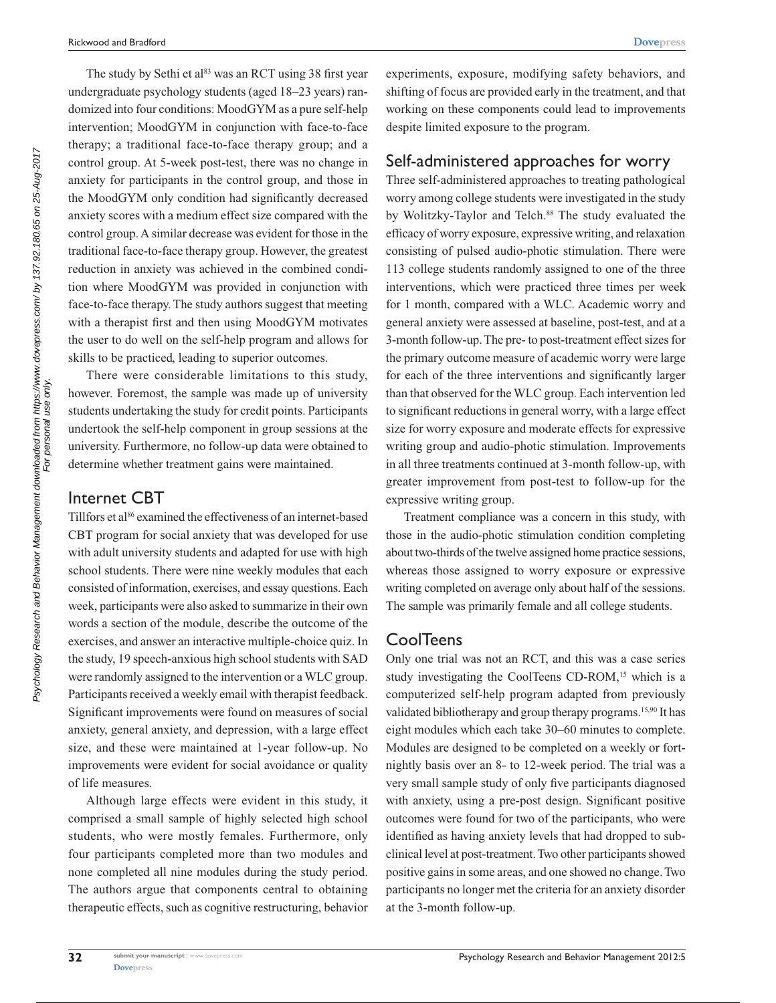The study by Sethi et al<sup>83</sup> was an RCT using 38 first year undergraduate psychology students (aged 18–23 years) randomized into four conditions: MoodGYM as a pure self-help intervention; MoodGYM in conjunction with face-to-face therapy; a traditional face-to-face therapy group; and a control group. At 5-week post-test, there was no change in anxiety for participants in the control group, and those in the MoodGYM only condition had significantly decreased anxiety scores with a medium effect size compared with the control group. A similar decrease was evident for those in the traditional face-to-face therapy group. However, the greatest reduction in anxiety was achieved in the combined condition where MoodGYM was provided in conjunction with face-to-face therapy. The study authors suggest that meeting with a therapist first and then using MoodGYM motivates the user to do well on the self-help program and allows for skills to be practiced, leading to superior outcomes.

There were considerable limitations to this study, however. Foremost, the sample was made up of university students undertaking the study for credit points. Participants undertook the self-help component in group sessions at the university. Furthermore, no follow-up data were obtained to determine whether treatment gains were maintained.

#### Internet CBT

Tillfors et al<sup>86</sup> examined the effectiveness of an internet-based CBT program for social anxiety that was developed for use with adult university students and adapted for use with high school students. There were nine weekly modules that each consisted of information, exercises, and essay questions. Each week, participants were also asked to summarize in their own words a section of the module, describe the outcome of the exercises, and answer an interactive multiple-choice quiz. In the study, 19 speech-anxious high school students with SAD were randomly assigned to the intervention or a WLC group. Participants received a weekly email with therapist feedback. Significant improvements were found on measures of social anxiety, general anxiety, and depression, with a large effect size, and these were maintained at 1-year follow-up. No improvements were evident for social avoidance or quality of life measures.

Although large effects were evident in this study, it comprised a small sample of highly selected high school students, who were mostly females. Furthermore, only four participants completed more than two modules and none completed all nine modules during the study period. The authors argue that components central to obtaining therapeutic effects, such as cognitive restructuring, behavior experiments, exposure, modifying safety behaviors, and shifting of focus are provided early in the treatment, and that working on these components could lead to improvements despite limited exposure to the program.

#### Self-administered approaches for worry

Three self-administered approaches to treating pathological worry among college students were investigated in the study by Wolitzky-Taylor and Telch.<sup>88</sup> The study evaluated the efficacy of worry exposure, expressive writing, and relaxation consisting of pulsed audio-photic stimulation. There were 113 college students randomly assigned to one of the three interventions, which were practiced three times per week for 1 month, compared with a WLC. Academic worry and general anxiety were assessed at baseline, post-test, and at a 3-month follow-up. The pre- to post-treatment effect sizes for the primary outcome measure of academic worry were large for each of the three interventions and significantly larger than that observed for the WLC group. Each intervention led to significant reductions in general worry, with a large effect size for worry exposure and moderate effects for expressive writing group and audio-photic stimulation. Improvements in all three treatments continued at 3-month follow-up, with greater improvement from post-test to follow-up for the expressive writing group.

Treatment compliance was a concern in this study, with those in the audio-photic stimulation condition completing about two-thirds of the twelve assigned home practice sessions, whereas those assigned to worry exposure or expressive writing completed on average only about half of the sessions. The sample was primarily female and all college students.

## **CoolTeens**

Only one trial was not an RCT, and this was a case series study investigating the CoolTeens CD-ROM,<sup>15</sup> which is a computerized self-help program adapted from previously validated bibliotherapy and group therapy programs.<sup>15,90</sup> It has eight modules which each take 30–60 minutes to complete. Modules are designed to be completed on a weekly or fortnightly basis over an 8- to 12-week period. The trial was a very small sample study of only five participants diagnosed with anxiety, using a pre-post design. Significant positive outcomes were found for two of the participants, who were identified as having anxiety levels that had dropped to subclinical level at post-treatment. Two other participants showed positive gains in some areas, and one showed no change. Two participants no longer met the criteria for an anxiety disorder at the 3-month follow-up.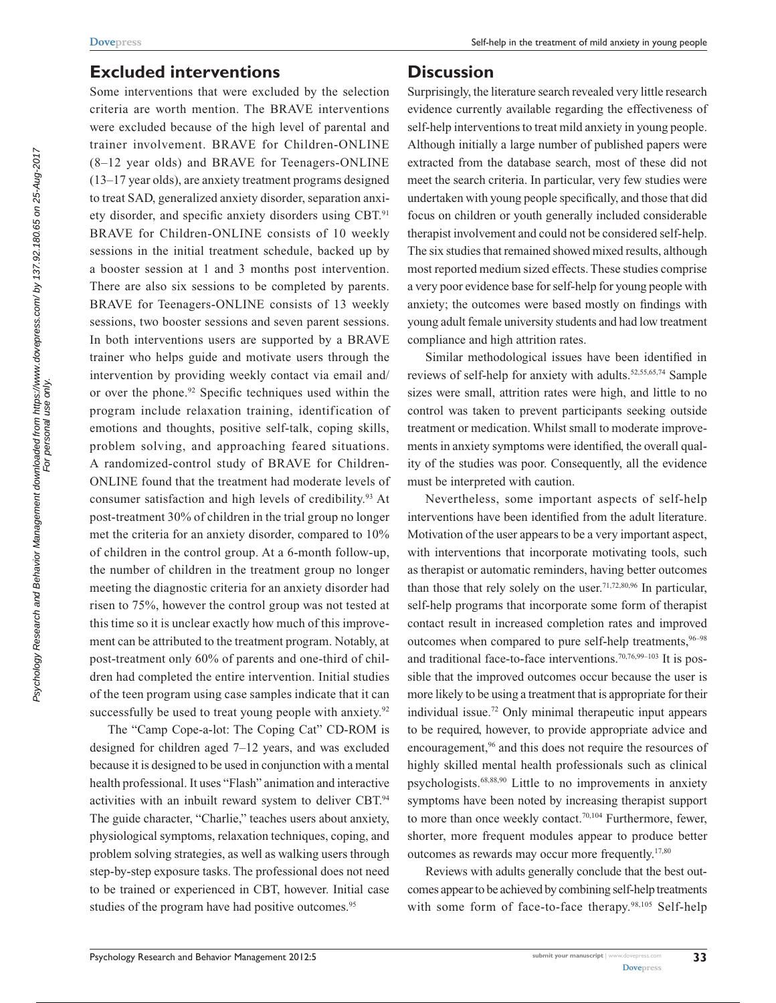#### **Excluded interventions**

Some interventions that were excluded by the selection criteria are worth mention. The BRAVE interventions were excluded because of the high level of parental and trainer involvement. BRAVE for Children-ONLINE (8–12 year olds) and BRAVE for Teenagers-ONLINE (13–17 year olds), are anxiety treatment programs designed to treat SAD, generalized anxiety disorder, separation anxiety disorder, and specific anxiety disorders using CBT.<sup>91</sup> BRAVE for Children-ONLINE consists of 10 weekly sessions in the initial treatment schedule, backed up by a booster session at 1 and 3 months post intervention. There are also six sessions to be completed by parents. BRAVE for Teenagers-ONLINE consists of 13 weekly sessions, two booster sessions and seven parent sessions. In both interventions users are supported by a BRAVE trainer who helps guide and motivate users through the intervention by providing weekly contact via email and/ or over the phone.<sup>92</sup> Specific techniques used within the program include relaxation training, identification of emotions and thoughts, positive self-talk, coping skills, problem solving, and approaching feared situations. A randomized-control study of BRAVE for Children-ONLINE found that the treatment had moderate levels of consumer satisfaction and high levels of credibility.<sup>93</sup> At post-treatment 30% of children in the trial group no longer met the criteria for an anxiety disorder, compared to 10% of children in the control group. At a 6-month follow-up, the number of children in the treatment group no longer meeting the diagnostic criteria for an anxiety disorder had risen to 75%, however the control group was not tested at this time so it is unclear exactly how much of this improvement can be attributed to the treatment program. Notably, at post-treatment only 60% of parents and one-third of children had completed the entire intervention. Initial studies of the teen program using case samples indicate that it can successfully be used to treat young people with anxiety.<sup>92</sup>

The "Camp Cope-a-lot: The Coping Cat" CD-ROM is designed for children aged 7–12 years, and was excluded because it is designed to be used in conjunction with a mental health professional. It uses "Flash" animation and interactive activities with an inbuilt reward system to deliver CBT.<sup>94</sup> The guide character, "Charlie," teaches users about anxiety, physiological symptoms, relaxation techniques, coping, and problem solving strategies, as well as walking users through step-by-step exposure tasks. The professional does not need to be trained or experienced in CBT, however. Initial case studies of the program have had positive outcomes.<sup>95</sup>

# **Discussion**

Surprisingly, the literature search revealed very little research evidence currently available regarding the effectiveness of self-help interventions to treat mild anxiety in young people. Although initially a large number of published papers were extracted from the database search, most of these did not meet the search criteria. In particular, very few studies were undertaken with young people specifically, and those that did focus on children or youth generally included considerable therapist involvement and could not be considered self-help. The six studies that remained showed mixed results, although most reported medium sized effects. These studies comprise a very poor evidence base for self-help for young people with anxiety; the outcomes were based mostly on findings with young adult female university students and had low treatment compliance and high attrition rates.

Similar methodological issues have been identified in reviews of self-help for anxiety with adults.52,55,65,74 Sample sizes were small, attrition rates were high, and little to no control was taken to prevent participants seeking outside treatment or medication. Whilst small to moderate improvements in anxiety symptoms were identified, the overall quality of the studies was poor. Consequently, all the evidence must be interpreted with caution.

Nevertheless, some important aspects of self-help interventions have been identified from the adult literature. Motivation of the user appears to be a very important aspect, with interventions that incorporate motivating tools, such as therapist or automatic reminders, having better outcomes than those that rely solely on the user.<sup>71,72,80,96</sup> In particular, self-help programs that incorporate some form of therapist contact result in increased completion rates and improved outcomes when compared to pure self-help treatments,  $96-98$ and traditional face-to-face interventions.70,76,99–103 It is possible that the improved outcomes occur because the user is more likely to be using a treatment that is appropriate for their individual issue.72 Only minimal therapeutic input appears to be required, however, to provide appropriate advice and encouragement,<sup>96</sup> and this does not require the resources of highly skilled mental health professionals such as clinical psychologists.68,88,90 Little to no improvements in anxiety symptoms have been noted by increasing therapist support to more than once weekly contact.<sup>70,104</sup> Furthermore, fewer, shorter, more frequent modules appear to produce better outcomes as rewards may occur more frequently.<sup>17,80</sup>

Reviews with adults generally conclude that the best outcomes appear to be achieved by combining self-help treatments with some form of face-to-face therapy.<sup>98,105</sup> Self-help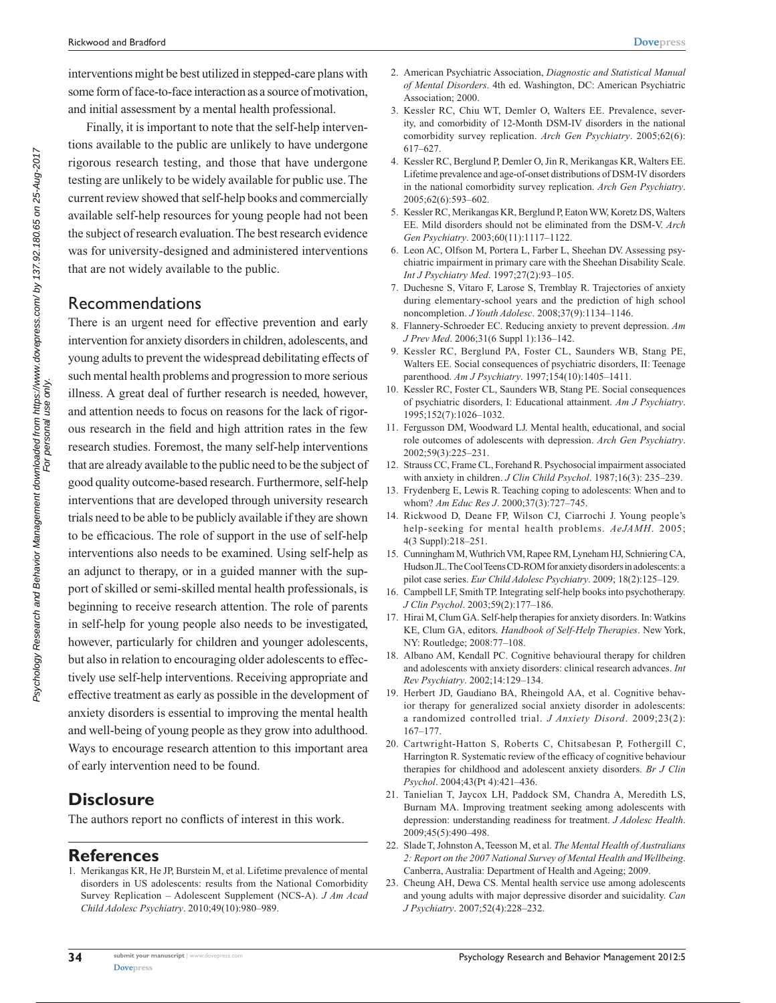interventions might be best utilized in stepped-care plans with some form of face-to-face interaction as a source of motivation, and initial assessment by a mental health professional.

Finally, it is important to note that the self-help interventions available to the public are unlikely to have undergone rigorous research testing, and those that have undergone testing are unlikely to be widely available for public use. The current review showed that self-help books and commercially available self-help resources for young people had not been the subject of research evaluation. The best research evidence was for university-designed and administered interventions that are not widely available to the public.

#### Recommendations

There is an urgent need for effective prevention and early intervention for anxiety disorders in children, adolescents, and young adults to prevent the widespread debilitating effects of such mental health problems and progression to more serious illness. A great deal of further research is needed, however, and attention needs to focus on reasons for the lack of rigorous research in the field and high attrition rates in the few research studies. Foremost, the many self-help interventions that are already available to the public need to be the subject of good quality outcome-based research. Furthermore, self-help interventions that are developed through university research trials need to be able to be publicly available if they are shown to be efficacious. The role of support in the use of self-help interventions also needs to be examined. Using self-help as an adjunct to therapy, or in a guided manner with the support of skilled or semi-skilled mental health professionals, is beginning to receive research attention. The role of parents in self-help for young people also needs to be investigated, however, particularly for children and younger adolescents, but also in relation to encouraging older adolescents to effectively use self-help interventions. Receiving appropriate and effective treatment as early as possible in the development of anxiety disorders is essential to improving the mental health and well-being of young people as they grow into adulthood. Ways to encourage research attention to this important area of early intervention need to be found.

## **Disclosure**

The authors report no conflicts of interest in this work.

#### **References**

**34**

1. Merikangas KR, He JP, Burstein M, et al. Lifetime prevalence of mental disorders in US adolescents: results from the National Comorbidity Survey Replication – Adolescent Supplement (NCS-A). *J Am Acad Child Adolesc Psychiatry*. 2010;49(10):980–989.

- 2. American Psychiatric Association, *Diagnostic and Statistical Manual of Mental Disorders*. 4th ed. Washington, DC: American Psychiatric Association; 2000.
- 3. Kessler RC, Chiu WT, Demler O, Walters EE. Prevalence, severity, and comorbidity of 12-Month DSM-IV disorders in the national comorbidity survey replication. *Arch Gen Psychiatry*. 2005;62(6): 617–627.
- 4. Kessler RC, Berglund P, Demler O, Jin R, Merikangas KR, Walters EE. Lifetime prevalence and age-of-onset distributions of DSM-IV disorders in the national comorbidity survey replication. *Arch Gen Psychiatry*. 2005;62(6):593–602.
- 5. Kessler RC, Merikangas KR, Berglund P, Eaton WW, Koretz DS, Walters EE. Mild disorders should not be eliminated from the DSM-V. *Arch Gen Psychiatry*. 2003;60(11):1117–1122.
- 6. Leon AC, Olfson M, Portera L, Farber L, Sheehan DV. Assessing psychiatric impairment in primary care with the Sheehan Disability Scale. *Int J Psychiatry Med*. 1997;27(2):93–105.
- 7. Duchesne S, Vitaro F, Larose S, Tremblay R. Trajectories of anxiety during elementary-school years and the prediction of high school noncompletion. *J Youth Adolesc*. 2008;37(9):1134–1146.
- 8. Flannery-Schroeder EC. Reducing anxiety to prevent depression. *Am J Prev Med*. 2006;31(6 Suppl 1):136–142.
- 9. Kessler RC, Berglund PA, Foster CL, Saunders WB, Stang PE, Walters EE. Social consequences of psychiatric disorders, II: Teenage parenthood. *Am J Psychiatry*. 1997;154(10):1405–1411.
- 10. Kessler RC, Foster CL, Saunders WB, Stang PE. Social consequences of psychiatric disorders, I: Educational attainment. *Am J Psychiatry*. 1995;152(7):1026–1032.
- 11. Fergusson DM, Woodward LJ. Mental health, educational, and social role outcomes of adolescents with depression. *Arch Gen Psychiatry*. 2002;59(3):225–231.
- 12. Strauss CC, Frame CL, Forehand R. Psychosocial impairment associated with anxiety in children. *J Clin Child Psychol*. 1987;16(3): 235–239.
- 13. Frydenberg E, Lewis R. Teaching coping to adolescents: When and to whom? *Am Educ Res J*. 2000;37(3):727–745.
- 14. Rickwood D, Deane FP, Wilson CJ, Ciarrochi J. Young people's help-seeking for mental health problems. *AeJAMH*. 2005; 4(3 Suppl):218–251.
- 15. Cunningham M, Wuthrich VM, Rapee RM, Lyneham HJ, Schniering CA, Hudson JL. The Cool Teens CD-ROM for anxiety disorders in adolescents: a pilot case series. *Eur Child Adolesc Psychiatry*. 2009; 18(2):125–129.
- 16. Campbell LF, Smith TP. Integrating self-help books into psychotherapy. *J Clin Psychol*. 2003;59(2):177–186.
- 17. Hirai M, Clum GA. Self-help therapies for anxiety disorders. In: Watkins KE, Clum GA, editors. *Handbook of Self-Help Therapies*. New York, NY: Routledge; 2008:77–108.
- 18. Albano AM, Kendall PC. Cognitive behavioural therapy for children and adolescents with anxiety disorders: clinical research advances. *Int Rev Psychiatry*. 2002;14:129–134.
- 19. Herbert JD, Gaudiano BA, Rheingold AA, et al. Cognitive behavior therapy for generalized social anxiety disorder in adolescents: a randomized controlled trial. *J Anxiety Disord*. 2009;23(2): 167–177.
- 20. Cartwright-Hatton S, Roberts C, Chitsabesan P, Fothergill C, Harrington R. Systematic review of the efficacy of cognitive behaviour therapies for childhood and adolescent anxiety disorders. *Br J Clin Psychol*. 2004;43(Pt 4):421–436.
- 21. Tanielian T, Jaycox LH, Paddock SM, Chandra A, Meredith LS, Burnam MA. Improving treatment seeking among adolescents with depression: understanding readiness for treatment. *J Adolesc Health*. 2009;45(5):490–498.
- 22. Slade T, Johnston A, Teesson M, et al. *The Mental Health of Australians 2: Report on the 2007 National Survey of Mental Health and Wellbeing*. Canberra, Australia: Department of Health and Ageing; 2009.
- 23. Cheung AH, Dewa CS. Mental health service use among adolescents and young adults with major depressive disorder and suicidality. *Can J Psychiatry*. 2007;52(4):228–232.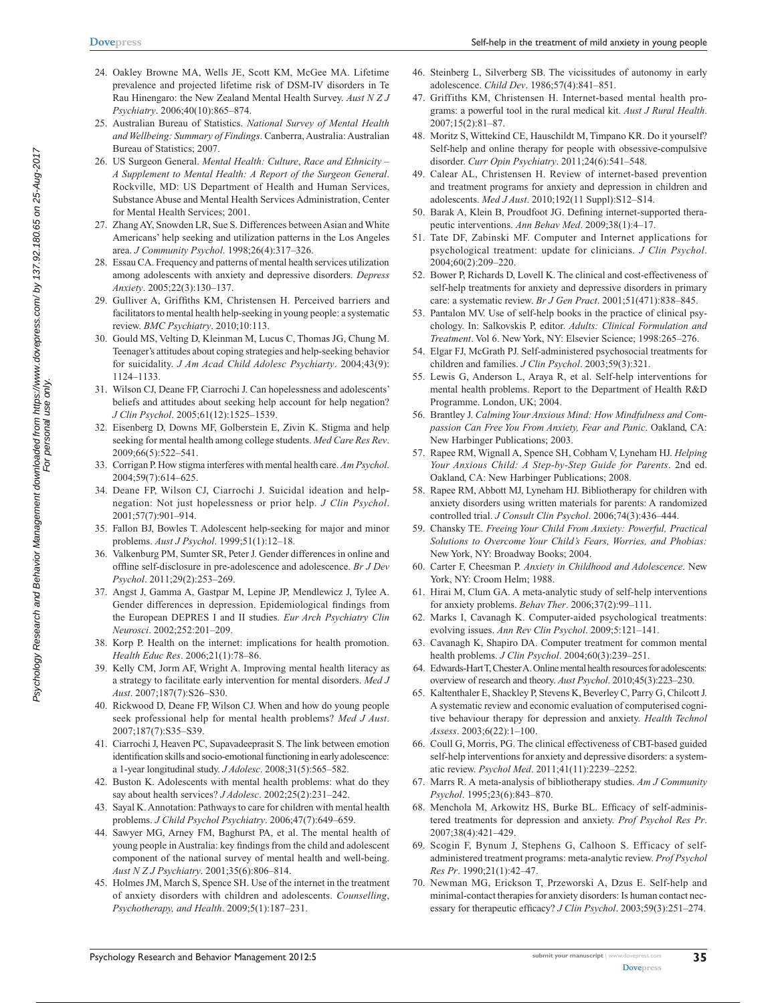- 24. Oakley Browne MA, Wells JE, Scott KM, McGee MA. Lifetime prevalence and projected lifetime risk of DSM-IV disorders in Te Rau Hinengaro: the New Zealand Mental Health Survey. *Aust N Z J Psychiatry*. 2006;40(10):865–874.
- 25. Australian Bureau of Statistics. *National Survey of Mental Health and Wellbeing: Summary of Findings*. Canberra, Australia: Australian Bureau of Statistics; 2007.
- 26. US Surgeon General. *Mental Health: Culture*, *Race and Ethnicity A Supplement to Mental Health: A Report of the Surgeon General*. Rockville, MD: US Department of Health and Human Services, Substance Abuse and Mental Health Services Administration, Center for Mental Health Services; 2001.
- 27. Zhang AY, Snowden LR, Sue S. Differences between Asian and White Americans' help seeking and utilization patterns in the Los Angeles area. *J Community Psychol*. 1998;26(4):317–326.
- 28. Essau CA. Frequency and patterns of mental health services utilization among adolescents with anxiety and depressive disorders. *Depress Anxiety*. 2005;22(3):130–137.
- 29. Gulliver A, Griffiths KM, Christensen H. Perceived barriers and facilitators to mental health help-seeking in young people: a systematic review. *BMC Psychiatry*. 2010;10:113.
- 30. Gould MS, Velting D, Kleinman M, Lucus C, Thomas JG, Chung M. Teenager's attitudes about coping strategies and help-seeking behavior for suicidality. *J Am Acad Child Adolesc Psychiarty*. 2004;43(9): 1124–1133.
- 31. Wilson CJ, Deane FP, Ciarrochi J. Can hopelessness and adolescents' beliefs and attitudes about seeking help account for help negation? *J Clin Psychol*. 2005;61(12):1525–1539.
- 32. Eisenberg D, Downs MF, Golberstein E, Zivin K. Stigma and help seeking for mental health among college students. *Med Care Res Rev*. 2009;66(5):522–541.
- 33. Corrigan P. How stigma interferes with mental health care. *Am Psychol*. 2004;59(7):614–625.
- 34. Deane FP, Wilson CJ, Ciarrochi J. Suicidal ideation and helpnegation: Not just hopelessness or prior help. *J Clin Psychol*. 2001;57(7):901–914.
- 35. Fallon BJ, Bowles T. Adolescent help-seeking for major and minor problems. *Aust J Psychol*. 1999;51(1):12–18.
- 36. Valkenburg PM, Sumter SR, Peter J. Gender differences in online and offline self-disclosure in pre-adolescence and adolescence. *Br J Dev Psychol*. 2011;29(2):253–269.
- 37. Angst J, Gamma A, Gastpar M, Lepine JP, Mendlewicz J, Tylee A. Gender differences in depression. Epidemiological findings from the European DEPRES I and II studies. *Eur Arch Psychiatry Clin Neurosci*. 2002;252:201–209.
- 38. Korp P. Health on the internet: implications for health promotion. *Health Educ Res*. 2006;21(1):78–86.
- 39. Kelly CM, Jorm AF, Wright A. Improving mental health literacy as a strategy to facilitate early intervention for mental disorders. *Med J Aust*. 2007;187(7):S26–S30.
- 40. Rickwood D, Deane FP, Wilson CJ. When and how do young people seek professional help for mental health problems? *Med J Aust*. 2007;187(7):S35–S39.
- 41. Ciarrochi J, Heaven PC, Supavadeeprasit S. The link between emotion identification skills and socio-emotional functioning in early adolescence: a 1-year longitudinal study. *J Adolesc*. 2008;31(5):565–582.
- 42. Buston K. Adolescents with mental health problems: what do they say about health services? *J Adolesc*. 2002;25(2):231–242.
- 43. Sayal K. Annotation: Pathways to care for children with mental health problems. *J Child Psychol Psychiatry*. 2006;47(7):649–659.
- 44. Sawyer MG, Arney FM, Baghurst PA, et al. The mental health of young people in Australia: key findings from the child and adolescent component of the national survey of mental health and well-being. *Aust N Z J Psychiatry*. 2001;35(6):806–814.
- 45. Holmes JM, March S, Spence SH. Use of the internet in the treatment of anxiety disorders with children and adolescents. *Counselling*, *Psychotherapy, and Health*. 2009;5(1):187–231.
- 46. Steinberg L, Silverberg SB. The vicissitudes of autonomy in early adolescence. *Child Dev*. 1986;57(4):841–851.
- 47. Griffiths KM, Christensen H. Internet-based mental health programs: a powerful tool in the rural medical kit. *Aust J Rural Health*. 2007;15(2):81–87.
- 48. Moritz S, Wittekind CE, Hauschildt M, Timpano KR. Do it yourself? Self-help and online therapy for people with obsessive-compulsive disorder. *Curr Opin Psychiatry*. 2011;24(6):541–548.
- 49. Calear AL, Christensen H. Review of internet-based prevention and treatment programs for anxiety and depression in children and adolescents. *Med J Aust*. 2010;192(11 Suppl):S12–S14.
- 50. Barak A, Klein B, Proudfoot JG. Defining internet-supported therapeutic interventions. *Ann Behav Med*. 2009;38(1):4–17.
- 51. Tate DF, Zabinski MF. Computer and Internet applications for psychological treatment: update for clinicians. *J Clin Psychol*. 2004;60(2):209–220.
- 52. Bower P, Richards D, Lovell K. The clinical and cost-effectiveness of self-help treatments for anxiety and depressive disorders in primary care: a systematic review. *Br J Gen Pract*. 2001;51(471):838–845.
- 53. Pantalon MV. Use of self-help books in the practice of clinical psychology. In: Salkovskis P, editor. *Adults: Clinical Formulation and Treatment*. Vol 6. New York, NY: Elsevier Science; 1998:265–276.
- 54. Elgar FJ, McGrath PJ. Self-administered psychosocial treatments for children and families. *J Clin Psychol*. 2003;59(3):321.
- 55. Lewis G, Anderson L, Araya R, et al. Self-help interventions for mental health problems. Report to the Department of Health R&D Programme. London, UK; 2004.
- 56. Brantley J. *Calming Your Anxious Mind: How Mindfulness and Compassion Can Free You From Anxiety, Fear and Panic*. Oakland, CA: New Harbinger Publications; 2003.
- 57. Rapee RM, Wignall A, Spence SH, Cobham V, Lyneham HJ. *Helping Your Anxious Child: A Step-by-Step Guide for Parents*. 2nd ed. Oakland, CA: New Harbinger Publications; 2008.
- 58. Rapee RM, Abbott MJ, Lyneham HJ. Bibliotherapy for children with anxiety disorders using written materials for parents: A randomized controlled trial. *J Consult Clin Psychol*. 2006;74(3):436–444.
- 59. Chansky TE. *Freeing Your Child From Anxiety: Powerful, Practical Solutions to Overcome Your Child's Fears, Worries, and Phobias:*  New York, NY: Broadway Books; 2004.
- 60. Carter F, Cheesman P. *Anxiety in Childhood and Adolescence*. New York, NY: Croom Helm; 1988.
- 61. Hirai M, Clum GA. A meta-analytic study of self-help interventions for anxiety problems. *Behav Ther*. 2006;37(2):99–111.
- 62. Marks I, Cavanagh K. Computer-aided psychological treatments: evolving issues. *Ann Rev Clin Psychol*. 2009;5:121–141.
- 63. Cavanagh K, Shapiro DA. Computer treatment for common mental health problems. *J Clin Psychol*. 2004;60(3):239–251.
- 64. Edwards-Hart T, Chester A. Online mental health resources for adolescents: overview of research and theory. *Aust Psychol*. 2010;45(3):223–230.
- 65. Kaltenthaler E, Shackley P, Stevens K, Beverley C, Parry G, Chilcott J. A systematic review and economic evaluation of computerised cognitive behaviour therapy for depression and anxiety. *Health Technol Assess*. 2003;6(22):1–100.
- 66. Coull G, Morris, PG. The clinical effectiveness of CBT-based guided self-help interventions for anxiety and depressive disorders: a systematic review. *Psychol Med*. 2011;41(11):2239–2252.
- 67. Marrs R. A meta-analysis of bibliotherapy studies. *Am J Community Psychol*. 1995;23(6):843–870.
- 68. Menchola M, Arkowitz HS, Burke BL. Efficacy of self-administered treatments for depression and anxiety. *Prof Psychol Res Pr*. 2007;38(4):421–429.
- 69. Scogin F, Bynum J, Stephens G, Calhoon S. Efficacy of selfadministered treatment programs: meta-analytic review. *Prof Psychol Res Pr*. 1990;21(1):42–47.
- 70. Newman MG, Erickson T, Przeworski A, Dzus E. Self-help and minimal-contact therapies for anxiety disorders: Is human contact necessary for therapeutic efficacy? *J Clin Psychol*. 2003;59(3):251–274.